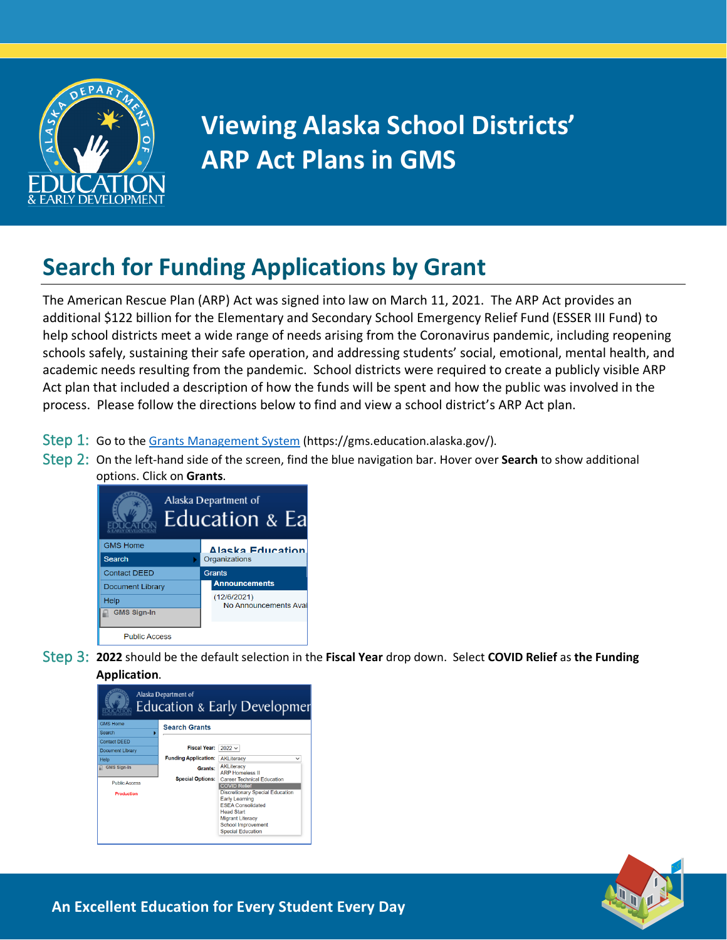

## **Viewing Alaska School Districts' ARP Act Plans in GMS**

## **Search for Funding Applications by Grant**

The American Rescue Plan (ARP) Act was signed into law on March 11, 2021. The ARP Act provides an additional \$122 billion for the Elementary and Secondary School Emergency Relief Fund (ESSER III Fund) to help school districts meet a wide range of needs arising from the Coronavirus pandemic, including reopening schools safely, sustaining their safe operation, and addressing students' social, emotional, mental health, and academic needs resulting from the pandemic. School districts were required to create a publicly visible ARP Act plan that included a description of how the funds will be spent and how the public was involved in the process. Please follow the directions below to find and view a school district's ARP Act plan.

- Step 1: Go to th[e Grants Management System](https://gms.education.alaska.gov/) (https://gms.education.alaska.gov/).
- Step 2: On the left-hand side of the screen, find the blue navigation bar. Hover over **Search** to show additional options. Click on **Grants**.



Step 3: **2022** should be the default selection in the **Fiscal Year** drop down. Select **COVID Relief** as **the Funding Application**.





**An Excellent Education for Every Student Every Day**